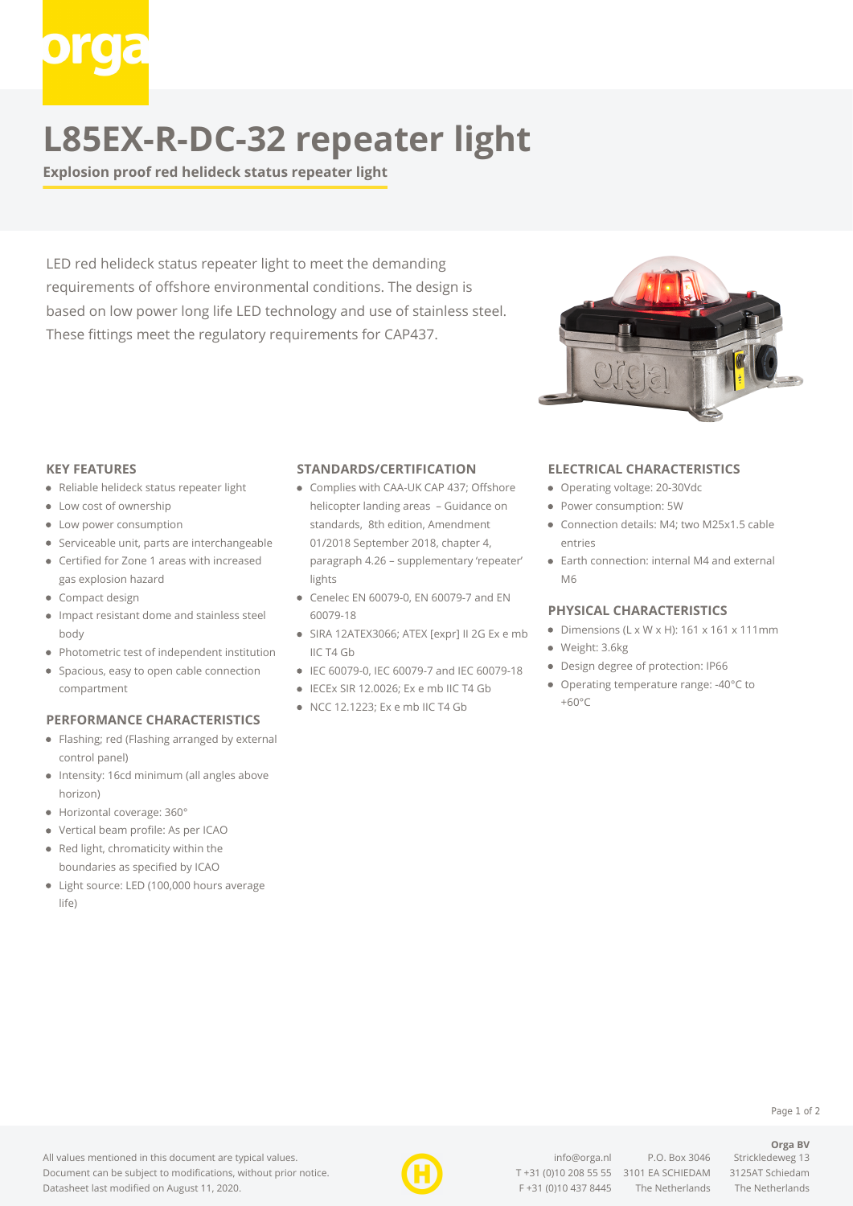# **L85EX-R-DC-32 repeater light**

**Explosion proof red helideck status repeater light**

LED red helideck status repeater light to meet the demanding requirements of offshore environmental conditions. The design is based on low power long life LED technology and use of stainless steel. These fittings meet the regulatory requirements for CAP437.



#### **KEY FEATURES**

- Reliable helideck status repeater light
- Low cost of ownership
- Low power consumption
- Serviceable unit, parts are interchangeable
- Certified for Zone 1 areas with increased gas explosion hazard
- Compact design
- Impact resistant dome and stainless steel body
- Photometric test of independent institution
- Spacious, easy to open cable connection compartment

### **PERFORMANCE CHARACTERISTICS**

- Flashing; red (Flashing arranged by external control panel)
- Intensity: 16cd minimum (all angles above horizon)
- Horizontal coverage: 360°
- Vertical beam profile: As per ICAO
- Red light, chromaticity within the boundaries as specified by ICAO
- Light source: LED (100,000 hours average life)

#### **STANDARDS/CERTIFICATION**

- Complies with CAA-UK CAP 437; Offshore helicopter landing areas – Guidance on standards, 8th edition, Amendment 01/2018 September 2018, chapter 4, paragraph 4.26 – supplementary 'repeater' lights
- Cenelec EN 60079-0, EN 60079-7 and EN 60079-18
- SIRA 12ATEX3066; ATEX [expr] II 2G Ex e mb IIC T4 Gb
- IEC 60079-0, IEC 60079-7 and IEC 60079-18
- $\bullet$  IECEx SIR 12.0026; Ex e mb IIC T4 Gb
- NCC 12.1223; Ex e mb IIC T4 Gb

#### **ELECTRICAL CHARACTERISTICS**

- Operating voltage: 20-30Vdc
- Power consumption: 5W
- Connection details: M4; two M25x1.5 cable entries
- Earth connection: internal M4 and external M6

#### **PHYSICAL CHARACTERISTICS**

- $\bullet$  Dimensions (L x W x H): 161 x 161 x 111mm
- Weight: 3.6kg
- Design degree of protection: IP66
- Operating temperature range: -40°C to  $+60^{\circ}C$

**Orga BV**

#### All values mentioned in this document are typical values. Document can be subject to modifications, without prior notice. Datasheet last modified on August 11, 2020.